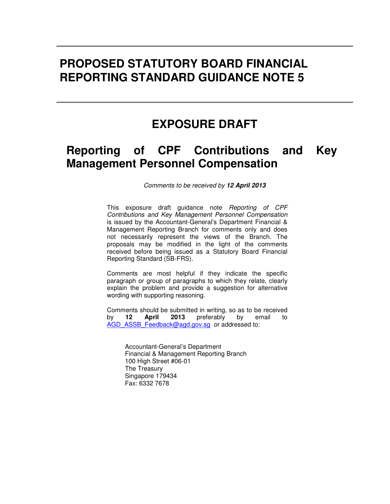# **PROPOSED STATUTORY BOARD FINANCIAL REPORTING STANDARD GUIDANCE NOTE 5**

# **EXPOSURE DRAFT**

# **Reporting of CPF Contributions and Key Management Personnel Compensation**

Comments to be received by **12 April 2013** 

This exposure draft guidance note Reporting of CPF Contributions and Key Management Personnel Compensation is issued by the Accountant-General's Department Financial & Management Reporting Branch for comments only and does not necessarily represent the views of the Branch. The proposals may be modified in the light of the comments received before being issued as a Statutory Board Financial Reporting Standard (SB-FRS).

Comments are most helpful if they indicate the specific paragraph or group of paragraphs to which they relate, clearly explain the problem and provide a suggestion for alternative wording with supporting reasoning.

Comments should be submitted in writing, so as to be received by **12 April 2013** preferably by email to AGD\_ASSB\_Feedback@agd.gov.sg\_or addressed to:

Accountant-General's Department Financial & Management Reporting Branch 100 High Street #06-01 The Treasury Singapore 179434 Fax: 6332 7678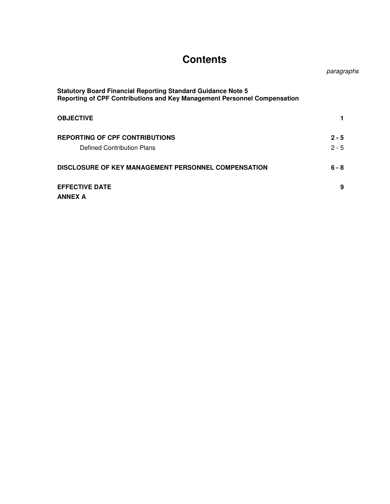# **Contents**

paragraphs

| <b>Statutory Board Financial Reporting Standard Guidance Note 5</b><br>Reporting of CPF Contributions and Key Management Personnel Compensation |         |
|-------------------------------------------------------------------------------------------------------------------------------------------------|---------|
| <b>OBJECTIVE</b>                                                                                                                                |         |
| <b>REPORTING OF CPF CONTRIBUTIONS</b>                                                                                                           | $2 - 5$ |
| Defined Contribution Plans                                                                                                                      | $2 - 5$ |
| DISCLOSURE OF KEY MANAGEMENT PERSONNEL COMPENSATION                                                                                             | $6 - 8$ |
| <b>EFFECTIVE DATE</b>                                                                                                                           | 9       |
| <b>ANNEX A</b>                                                                                                                                  |         |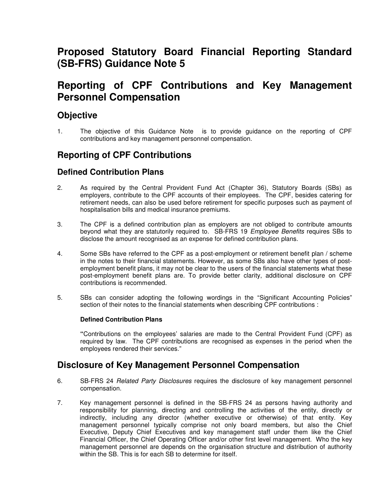## **Proposed Statutory Board Financial Reporting Standard (SB-FRS) Guidance Note 5**

## **Reporting of CPF Contributions and Key Management Personnel Compensation**

### **Objective**

1. The objective of this Guidance Note is to provide guidance on the reporting of CPF contributions and key management personnel compensation.

### **Reporting of CPF Contributions**

### **Defined Contribution Plans**

- 2. As required by the Central Provident Fund Act (Chapter 36), Statutory Boards (SBs) as employers, contribute to the CPF accounts of their employees. The CPF, besides catering for retirement needs, can also be used before retirement for specific purposes such as payment of hospitalisation bills and medical insurance premiums.
- 3. The CPF is a defined contribution plan as employers are not obliged to contribute amounts beyond what they are statutorily required to. SB-FRS 19 Employee Benefits requires SBs to disclose the amount recognised as an expense for defined contribution plans.
- 4. Some SBs have referred to the CPF as a post-employment or retirement benefit plan / scheme in the notes to their financial statements. However, as some SBs also have other types of postemployment benefit plans, it may not be clear to the users of the financial statements what these post-employment benefit plans are. To provide better clarity, additional disclosure on CPF contributions is recommended.
- 5. SBs can consider adopting the following wordings in the "Significant Accounting Policies" section of their notes to the financial statements when describing CPF contributions :

#### **Defined Contribution Plans**

**"**Contributions on the employees' salaries are made to the Central Provident Fund (CPF) as required by law. The CPF contributions are recognised as expenses in the period when the employees rendered their services."

### **Disclosure of Key Management Personnel Compensation**

- 6. SB-FRS 24 Related Party Disclosures requires the disclosure of key management personnel compensation.
- 7. Key management personnel is defined in the SB-FRS 24 as persons having authority and responsibility for planning, directing and controlling the activities of the entity, directly or indirectly, including any director (whether executive or otherwise) of that entity. Key management personnel typically comprise not only board members, but also the Chief Executive, Deputy Chief Executives and key management staff under them like the Chief Financial Officer, the Chief Operating Officer and/or other first level management. Who the key management personnel are depends on the organisation structure and distribution of authority within the SB. This is for each SB to determine for itself.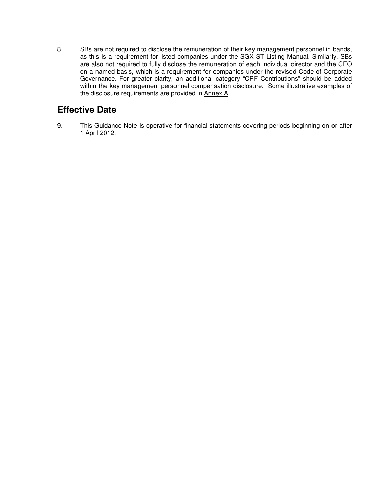8. SBs are not required to disclose the remuneration of their key management personnel in bands, as this is a requirement for listed companies under the SGX-ST Listing Manual. Similarly, SBs are also not required to fully disclose the remuneration of each individual director and the CEO on a named basis, which is a requirement for companies under the revised Code of Corporate Governance. For greater clarity, an additional category "CPF Contributions" should be added within the key management personnel compensation disclosure. Some illustrative examples of the disclosure requirements are provided in Annex A.

## **Effective Date**

9. This Guidance Note is operative for financial statements covering periods beginning on or after 1 April 2012.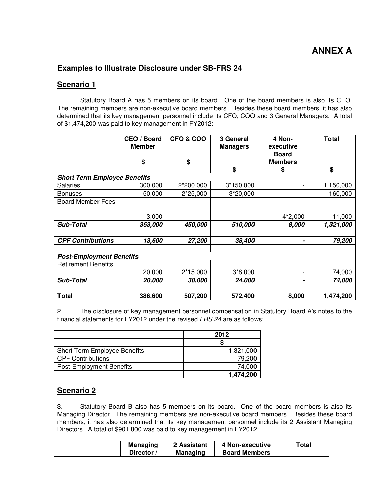### **Examples to Illustrate Disclosure under SB-FRS 24**

#### **Scenario 1**

Statutory Board A has 5 members on its board. One of the board members is also its CEO. The remaining members are non-executive board members. Besides these board members, it has also determined that its key management personnel include its CFO, COO and 3 General Managers. A total of \$1,474,200 was paid to key management in FY2012:

|                                     | CEO / Board<br><b>Member</b> | <b>CFO &amp; COO</b> | 3 General<br><b>Managers</b> | 4 Non-<br>executive            | <b>Total</b> |
|-------------------------------------|------------------------------|----------------------|------------------------------|--------------------------------|--------------|
|                                     | \$                           | \$                   |                              | <b>Board</b><br><b>Members</b> |              |
|                                     |                              |                      | \$                           | S                              | \$           |
| <b>Short Term Employee Benefits</b> |                              |                      |                              |                                |              |
| Salaries                            | 300,000                      | 2*200,000            | 3*150,000                    |                                | 1,150,000    |
| Bonuses                             | 50,000                       | 2*25,000             | 3*20,000                     |                                | 160,000      |
| <b>Board Member Fees</b>            |                              |                      |                              |                                |              |
|                                     | 3,000                        |                      |                              | 4*2,000                        | 11,000       |
| <b>Sub-Total</b>                    | 353,000                      | 450,000              | 510,000                      | 8,000                          | 1,321,000    |
|                                     |                              |                      |                              |                                |              |
| <b>CPF Contributions</b>            | 13,600                       | 27,200               | 38,400                       |                                | 79,200       |
|                                     |                              |                      |                              |                                |              |
| <b>Post-Employment Benefits</b>     |                              |                      |                              |                                |              |
| <b>Retirement Benefits</b>          |                              |                      |                              |                                |              |
|                                     | 20,000                       | 2*15,000             | $3*8,000$                    |                                | 74,000       |
| <b>Sub-Total</b>                    | 20,000                       | 30,000               | 24,000                       |                                | 74,000       |
|                                     |                              |                      |                              |                                |              |
| <b>Total</b>                        | 386,600                      | 507,200              | 572,400                      | 8,000                          | 1,474,200    |

2. The disclosure of key management personnel compensation in Statutory Board A's notes to the financial statements for FY2012 under the revised  $FRS$  24 are as follows:

|                                     | 2012      |
|-------------------------------------|-----------|
|                                     |           |
| <b>Short Term Employee Benefits</b> | 1,321,000 |
| <b>CPF Contributions</b>            | 79,200    |
| <b>Post-Employment Benefits</b>     | 74.000    |
|                                     | 1,474,200 |

#### **Scenario 2**

3. Statutory Board B also has 5 members on its board. One of the board members is also its Managing Director. The remaining members are non-executive board members. Besides these board members, it has also determined that its key management personnel include its 2 Assistant Managing Directors. A total of \$901,800 was paid to key management in FY2012:

| <b>Board Members</b><br><b>Managing</b><br><b>Director</b> |
|------------------------------------------------------------|
|------------------------------------------------------------|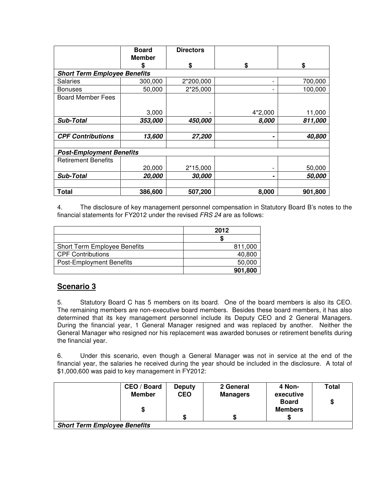|                                     | <b>Board</b>  | <b>Directors</b> |         |         |
|-------------------------------------|---------------|------------------|---------|---------|
|                                     | <b>Member</b> |                  |         |         |
|                                     | S             | \$               | \$      | \$      |
| <b>Short Term Employee Benefits</b> |               |                  |         |         |
| <b>Salaries</b>                     | 300,000       | 2*200,000        |         | 700,000 |
| <b>Bonuses</b>                      | 50,000        | 2*25,000         | -       | 100,000 |
| <b>Board Member Fees</b>            |               |                  |         |         |
|                                     |               |                  |         |         |
|                                     | 3,000         |                  | 4*2,000 | 11,000  |
| <b>Sub-Total</b>                    | 353,000       | 450,000          | 8,000   | 811,000 |
|                                     |               |                  |         |         |
| <b>CPF Contributions</b>            | 13,600        | 27,200           |         | 40,800  |
|                                     |               |                  |         |         |
| <b>Post-Employment Benefits</b>     |               |                  |         |         |
| <b>Retirement Benefits</b>          |               |                  |         |         |
|                                     | 20,000        | 2*15,000         |         | 50,000  |
| <b>Sub-Total</b>                    | 20,000        | 30,000           |         | 50,000  |
|                                     |               |                  |         |         |
| <b>Total</b>                        | 386,600       | 507,200          | 8,000   | 901,800 |

4. The disclosure of key management personnel compensation in Statutory Board B's notes to the financial statements for FY2012 under the revised FRS 24 are as follows:

|                                     | 2012    |
|-------------------------------------|---------|
|                                     |         |
| <b>Short Term Employee Benefits</b> | 811,000 |
| <b>CPF Contributions</b>            | 40,800  |
| <b>Post-Employment Benefits</b>     | 50,000  |
|                                     | 901,800 |

### **Scenario 3**

5. Statutory Board C has 5 members on its board. One of the board members is also its CEO. The remaining members are non-executive board members. Besides these board members, it has also determined that its key management personnel include its Deputy CEO and 2 General Managers. During the financial year, 1 General Manager resigned and was replaced by another. Neither the General Manager who resigned nor his replacement was awarded bonuses or retirement benefits during the financial year.

6. Under this scenario, even though a General Manager was not in service at the end of the financial year, the salaries he received during the year should be included in the disclosure. A total of \$1,000,600 was paid to key management in FY2012:

|                                     | CEO / Board<br><b>Member</b><br>\$ | <b>Deputy</b><br><b>CEO</b> | 2 General<br><b>Managers</b> | 4 Non-<br>executive<br><b>Board</b><br><b>Members</b> | Total<br>\$ |
|-------------------------------------|------------------------------------|-----------------------------|------------------------------|-------------------------------------------------------|-------------|
|                                     |                                    | \$                          |                              |                                                       |             |
| <b>Short Term Employee Benefits</b> |                                    |                             |                              |                                                       |             |